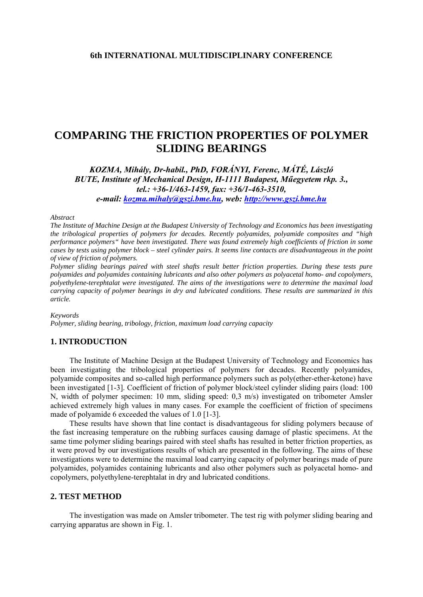# **COMPARING THE FRICTION PROPERTIES OF POLYMER SLIDING BEARINGS**

*KOZMA, Mihály, Dr-habil., PhD, FORÁNYI, Ferenc, MÁTÉ, László BUTE, Institute of Mechanical Design, H-1111 Budapest, Műegyetem rkp. 3., tel.: +36-1/463-1459, fax: +36/1-463-3510, e-mail: [kozma.mihaly@gszi.bme.hu,](mailto:kozma.mihaly@gszi.bme.hu) web: [http://www.gszi.bme.hu](http://www.gszi.bme.hu/)*

#### *Abstract*

*The Institute of Machine Design at the Budapest University of Technology and Economics has been investigating the tribological properties of polymers for decades. Recently polyamides, polyamide composites and "high performance polymers" have been investigated. There was found extremely high coefficients of friction in some cases by tests using polymer block – steel cylinder pairs. It seems line contacts are disadvantageous in the point of view of friction of polymers.* 

*Polymer sliding bearings paired with steel shafts result better friction properties. During these tests pure polyamides and polyamides containing lubricants and also other polymers as polyacetal homo- and copolymers, polyethylene-terephtalat were investigated. The aims of the investigations were to determine the maximal load carrying capacity of polymer bearings in dry and lubricated conditions. These results are summarized in this article.* 

*Keywords* 

*Polymer, sliding bearing, tribology, friction, maximum load carrying capacity* 

### **1. INTRODUCTION**

The Institute of Machine Design at the Budapest University of Technology and Economics has been investigating the tribological properties of polymers for decades. Recently polyamides, polyamide composites and so-called high performance polymers such as poly(ether-ether-ketone) have been investigated [1-3]. Coefficient of friction of polymer block/steel cylinder sliding pairs (load: 100 N, width of polymer specimen: 10 mm, sliding speed: 0,3 m/s) investigated on tribometer Amsler achieved extremely high values in many cases. For example the coefficient of friction of specimens made of polyamide 6 exceeded the values of 1.0 [1-3].

These results have shown that line contact is disadvantageous for sliding polymers because of the fast increasing temperature on the rubbing surfaces causing damage of plastic specimens. At the same time polymer sliding bearings paired with steel shafts has resulted in better friction properties, as it were proved by our investigations results of which are presented in the following. The aims of these investigations were to determine the maximal load carrying capacity of polymer bearings made of pure polyamides, polyamides containing lubricants and also other polymers such as polyacetal homo- and copolymers, polyethylene-terephtalat in dry and lubricated conditions.

### **2. TEST METHOD**

The investigation was made on Amsler tribometer. The test rig with polymer sliding bearing and carrying apparatus are shown in Fig. 1.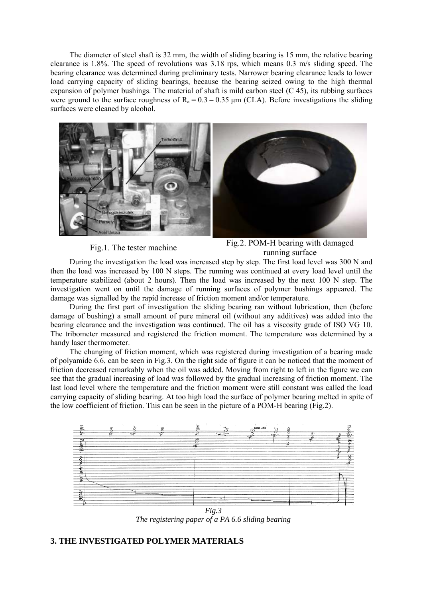The diameter of steel shaft is 32 mm, the width of sliding bearing is 15 mm, the relative bearing clearance is 1.8%. The speed of revolutions was 3.18 rps, which means 0.3 m/s sliding speed. The bearing clearance was determined during preliminary tests. Narrower bearing clearance leads to lower load carrying capacity of sliding bearings, because the bearing seized owing to the high thermal expansion of polymer bushings. The material of shaft is mild carbon steel (C 45), its rubbing surfaces were ground to the surface roughness of  $R_a = 0.3 - 0.35 \mu m$  (CLA). Before investigations the sliding surfaces were cleaned by alcohol.



Fig.1. The tester machine Fig.2. POM-H bearing with damaged running surface

During the investigation the load was increased step by step. The first load level was 300 N and then the load was increased by 100 N steps. The running was continued at every load level until the temperature stabilized (about 2 hours). Then the load was increased by the next 100 N step. The investigation went on until the damage of running surfaces of polymer bushings appeared. The damage was signalled by the rapid increase of friction moment and/or temperature.

During the first part of investigation the sliding bearing ran without lubrication, then (before damage of bushing) a small amount of pure mineral oil (without any additives) was added into the bearing clearance and the investigation was continued. The oil has a viscosity grade of ISO VG 10. The tribometer measured and registered the friction moment. The temperature was determined by a handy laser thermometer.

The changing of friction moment, which was registered during investigation of a bearing made of polyamide 6.6, can be seen in Fig.3. On the right side of figure it can be noticed that the moment of friction decreased remarkably when the oil was added. Moving from right to left in the figure we can see that the gradual increasing of load was followed by the gradual increasing of friction moment. The last load level where the temperature and the friction moment were still constant was called the load carrying capacity of sliding bearing. At too high load the surface of polymer bearing melted in spite of the low coefficient of friction. This can be seen in the picture of a POM-H bearing (Fig.2).



*Fig.3 The registering paper of a PA 6.6 sliding bearing* 

## **3. THE INVESTIGATED POLYMER MATERIALS**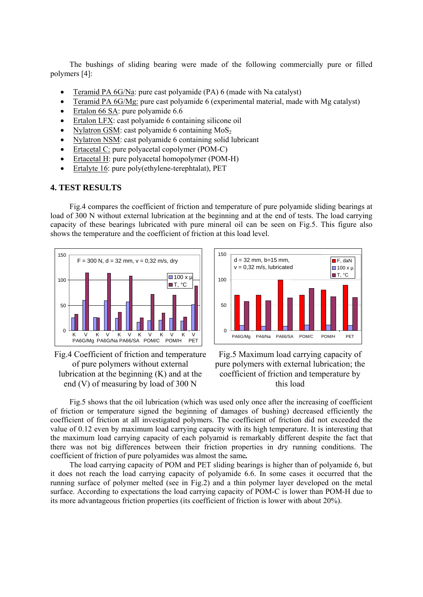The bushings of sliding bearing were made of the following commercially pure or filled polym ers [4]:

- Teramid PA  $6$ G/Na: pure cast polyamide (PA) 6 (made with Na catalyst)
- Teramid PA 6G/Mg: pure cast polyamide 6 (experimental material, made with Mg catalyst)
- Ertalon 66 SA: pure polyamide 6.6
- Ertalon LFX: cast polyamide 6 containing silicone oil
- Nylatron GSM: cast polyamide 6 containing  $MoS<sub>2</sub>$
- Nylatron NSM: cast polyamide 6 containing solid lubricant
- Ertacetal C: pure polyacetal copolymer (POM-C)
- Ertacetal H: pure polyacetal homopolymer (POM-H)
- Ertalyte 16: pure poly(ethylene-terephtalat), PET

### **4. TEST RESULTS**

Fig.4 compares the coefficient of friction and temperature of pure polyamide sliding bearings at load o f 300 N without external lubrication at the beginning and at the end of tests. The load carrying capacity of these bearings lubricated with pure mineral oil can be seen on Fig.5. This figure also shows the temperature and the coefficient of friction at this load level.





Fig.4 Coefficient of friction and temperatur e lubrication at the beginning (K) and at the of pure polymers without external end (V) of measuring by load of 300 N

Fig.5 Maximum load carrying capacity of p ure polymers with external lubrication; the coefficient of friction and temperature by this load

Fig.5 shows that the oil lubrication (which was used only once after the increasing of coefficient of fri ction or temperature signed the beginning of damages of bushing) decreased efficiently the coefficient of friction at all investigated polymers. The coefficient of friction did not exceeded the value of 0.12 even by maximum load carrying capacity with its high temperature. It is interesting that the maximum load carrying capacity of each polyamid is remarkably different despite the fact that there was not big differences between their friction properties in dry running conditions. The coefficient of friction of pure polyamides was almost the same*.*

The load carrying capacity of POM and PET sliding bearings is higher than of polyamide 6, but it doe s not reach the load carrying capacity of polyamide 6.6. In some cases it occurred that the running surface of polymer melted (see in Fig.2) and a thin polymer layer developed on the metal surface. According to expectations the load carrying capacity of POM-C is lower than POM-H due to its more advantageous friction properties (its coefficient of friction is lower with about 20%).